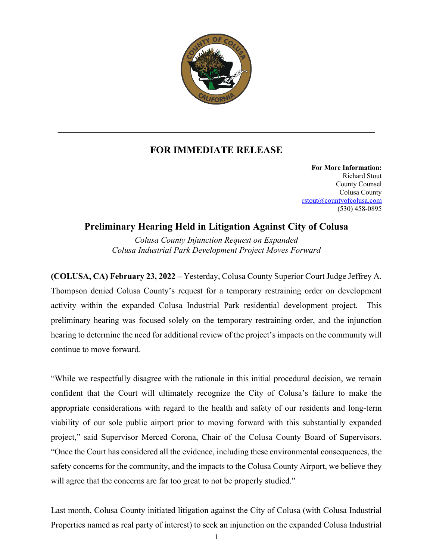

## **FOR IMMEDIATE RELEASE**

**For More Information:** Richard Stout County Counsel Colusa County rstout@countyofcolusa.com (530) 458-0895

## **Preliminary Hearing Held in Litigation Against City of Colusa**

*Colusa County Injunction Request on Expanded Colusa Industrial Park Development Project Moves Forward*

**(COLUSA, CA) February 23, 2022 –** Yesterday, Colusa County Superior Court Judge Jeffrey A. Thompson denied Colusa County's request for a temporary restraining order on development activity within the expanded Colusa Industrial Park residential development project. This preliminary hearing was focused solely on the temporary restraining order, and the injunction hearing to determine the need for additional review of the project's impacts on the community will continue to move forward.

"While we respectfully disagree with the rationale in this initial procedural decision, we remain confident that the Court will ultimately recognize the City of Colusa's failure to make the appropriate considerations with regard to the health and safety of our residents and long-term viability of our sole public airport prior to moving forward with this substantially expanded project," said Supervisor Merced Corona, Chair of the Colusa County Board of Supervisors. "Once the Court has considered all the evidence, including these environmental consequences, the safety concerns for the community, and the impacts to the Colusa County Airport, we believe they will agree that the concerns are far too great to not be properly studied."

Last month, Colusa County initiated litigation against the City of Colusa (with Colusa Industrial Properties named as real party of interest) to seek an injunction on the expanded Colusa Industrial